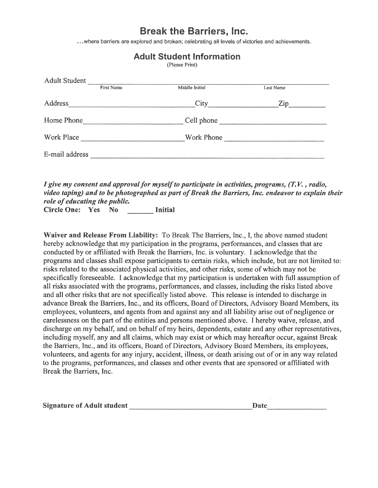## Break the Barriers, Inc.

. . . where barriers are explored and broken; celebrating all levels of victories and achievements.

Adult Student Information

|                |            | (Please Print) |                                     |
|----------------|------------|----------------|-------------------------------------|
| Adult Student  | First Name | Middle Initial | Last Name                           |
| Address        |            | City           | Zip                                 |
| Home Phone     |            | Cell phone     |                                     |
| Work Place     |            | Work Phone     | and the first state of the state of |
| E-mail address |            |                |                                     |

*I* give my consent and approval for myself to participate in activities, programs, (T.V., radio,

*video taping) and to be photographed as part of Break the Barriers, Inc. endeavor to explain their role of educating the public.*  Circle One: Yes No \_\_\_ Initial

Waiver and Release From Liability: To Break The Barriers, Inc., I, the above named student hereby acknowledge that my participation in the programs, performances, and classes that are conducted by or affiliated with Break the Barriers, Inc. is voluntary. I acknowledge that the programs and classes shall expose participants to certain risks, which include, but are not limited to: risks related to the associated physical activities, and other risks, some of which may not be specifically foreseeable. I acknowledge that my participation is undertaken with full assumption of all risks associated with the programs, performances, and classes, including the risks listed above and all other risks that are not specifically listed above. This release is intended to discharge in advance Break the Barriers, Inc., and its officers, Board of Directors, Advisory Board Members, its employees, volunteers, and agents from and against any and all liability arise out of negligence or carelessness on the part of the entities and persons mentioned above. I hereby waive, release, and discharge on my behalf, and on behalf of my heirs, dependents, estate and any other representatives, including myself, any and all claims, which may exist or which may hereafter occur, against Break the Barriers, Inc., and its officers, Board of Directors, Advisory Board Members, its employees, volunteers, and agents for any injury, accident, illness, or death arising out of or in any way related to **the** programs, performances, and classes and other events that are sponsored or affiliated with Break the Barriers, Inc.

Signature of Adult student Date ---------------- --------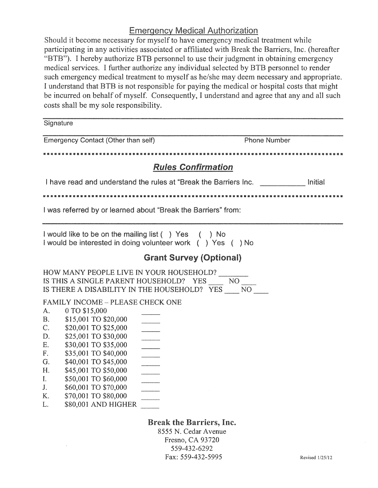## Emergency Medical Authorization

Should it become necessary for myself to have emergency medical treatment while participating in any activities associated or affiliated with Break the Barriers, Inc. (hereafter "BTB"). I hereby authorize BTB personnel to use their judgment in obtaining emergency medical services. I further authorize any individual selected by BTB personnel to render such emergency medical treatment to myself as he/she may deem necessary and appropriate. I understand that BTB is not responsible for paying the medical or hospital costs that might be incurred on behalf of myself. Consequently, I understand and agree that any and all such costs shall be my sole responsibility.

**Signature** 

| Emergency Contact (Other than self)                                                                                                                                                                                                                                                                                                                                                                                                                                                                                                                   | <b>Phone Number</b>                                                                         |  |  |  |  |
|-------------------------------------------------------------------------------------------------------------------------------------------------------------------------------------------------------------------------------------------------------------------------------------------------------------------------------------------------------------------------------------------------------------------------------------------------------------------------------------------------------------------------------------------------------|---------------------------------------------------------------------------------------------|--|--|--|--|
|                                                                                                                                                                                                                                                                                                                                                                                                                                                                                                                                                       |                                                                                             |  |  |  |  |
| <b>Rules Confirmation</b>                                                                                                                                                                                                                                                                                                                                                                                                                                                                                                                             |                                                                                             |  |  |  |  |
| I have read and understand the rules at "Break the Barriers Inc.                                                                                                                                                                                                                                                                                                                                                                                                                                                                                      |                                                                                             |  |  |  |  |
|                                                                                                                                                                                                                                                                                                                                                                                                                                                                                                                                                       |                                                                                             |  |  |  |  |
| I was referred by or learned about "Break the Barriers" from:                                                                                                                                                                                                                                                                                                                                                                                                                                                                                         |                                                                                             |  |  |  |  |
| I would like to be on the mailing list () Yes () No<br>I would be interested in doing volunteer work () Yes () No                                                                                                                                                                                                                                                                                                                                                                                                                                     |                                                                                             |  |  |  |  |
|                                                                                                                                                                                                                                                                                                                                                                                                                                                                                                                                                       | <b>Grant Survey (Optional)</b>                                                              |  |  |  |  |
| HOW MANY PEOPLE LIVE IN YOUR HOUSEHOLD?<br>IS THIS A SINGLE PARENT HOUSEHOLD? YES<br>IS THERE A DISABILITY IN THE HOUSEHOLD? YES NO<br><b>FAMILY INCOME - PLEASE CHECK ONE</b><br>0 TO \$15,000<br>A.<br><b>B.</b><br>\$15,001 TO \$20,000<br>C.<br>\$20,001 TO \$25,000<br>\$25,001 TO \$30,000<br>D.<br>\$30,001 TO \$35,000<br>Ε.<br>\$35,001 TO \$40,000<br>F.<br>\$40,001 TO \$45,000<br>G.<br>\$45,001 TO \$50,000<br>Η.<br>\$50,001 TO \$60,000<br>I.<br>\$60,001 TO \$70,000<br>J.<br>\$70,001 TO \$80,000<br>K.<br>\$80,001 AND HIGHER<br>L. | NO <sub>1</sub>                                                                             |  |  |  |  |
|                                                                                                                                                                                                                                                                                                                                                                                                                                                                                                                                                       | <b>Break the Barriers, Inc.</b><br>8555 N. Cedar Avenue<br>Fresno, CA 93720<br>559-432-6292 |  |  |  |  |

Fax: 559-432-5995

Revised I /25/12